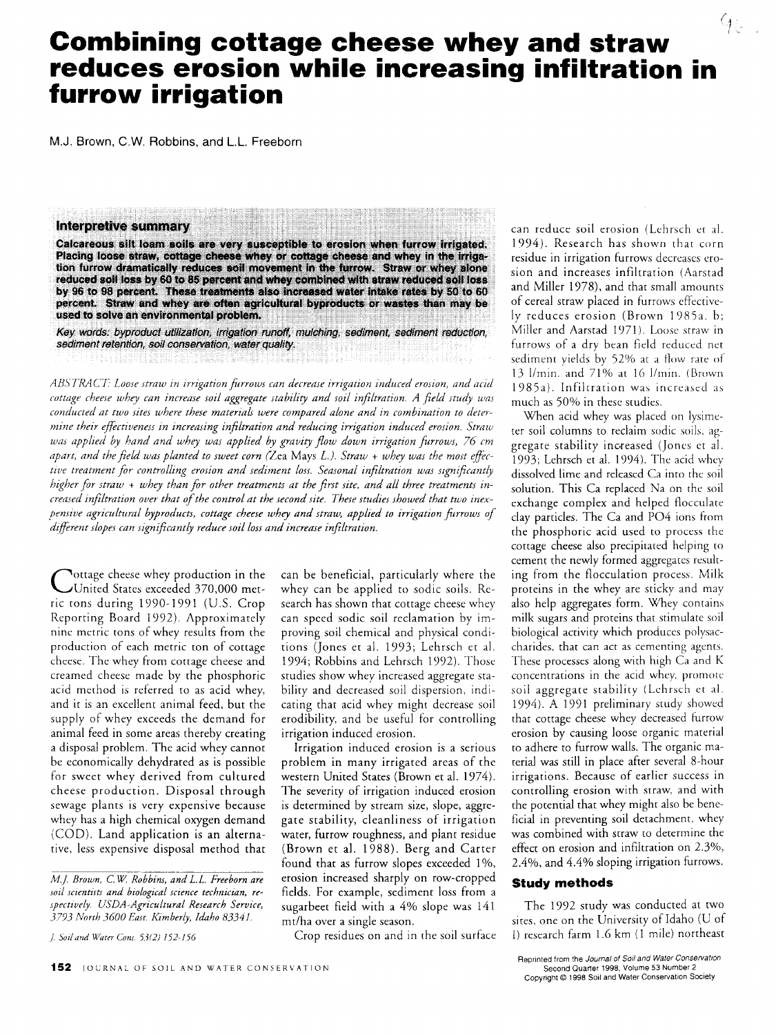# **Combining cottage cheese whey and straw reduces erosion while increasing infiltration in furrow irrigation**

M.J. Brown, C.W. Robbins, and L.L. Freeborn

## **Interpretive summary**

Calcareous silt loam soils are very susceptible to erosion when furrow irrigated. Placing loose straw, cottage cheese whey or cottage cheese and whey in the irrigation furrow dramatically reduces soil movement in the furrow. Straw or whey alone reduced soil loss by 60 to 85 percent and whey combined with straw reduced soil loss by 96 to 98 percent. These treatments also increased water intake rates by 50 to 60 percent. Straw and whey are often agricultural byproducts or wastes than may be used to solve an environmental problem.

Key words: byproduct utilization, irrigation runoff, mulching, sediment, sediment reduction, sediment retention, soil conservation, water quality.

*ABSTRACT Loose straw in irrigation \_Prows can decrease irrigation induced erosion, and acid cottage cheese whey can increase soil aggregate stability and soil infiltration. A field study was conducted at two sites where these materials were compared alone and in combination to determine their effectiveness in increasing infiltration and reducing irrigation induced erosion. Straw was applied by hand and whey was applied by gravity flow down irrigation furrows, 76 cm apart, and the field was planted to sweet corn (Zea* Mays *L.). Straw + whey was the most effec tive treatment for controlling erosion and sediment loss. Seasonal infiltration was significantly higher for straw + whey than for other treatments at the first site, and all three treatments increased infiltration over that of the control at the second site. These studies showed that two inexpensive agricultural byproducts, cottage cheese whey and straw, applied to irrigation furrows of different slopes can significantly reduce soil loss and increase infiltration.*

C ottage cheese whey production in the United States exceeded 370,000 metric tons during 1990-1991 (U.S. Crop Reporting Board 1992). Approximately nine metric tons of whey results from the production of each metric ton of cottage cheese. The whey from cottage cheese and creamed cheese made by the phosphoric acid method is referred to as acid whey, and it is an excellent animal feed, but the supply of whey exceeds the demand for animal feed in some areas thereby creating a disposal problem. The acid whey cannot be economically dehydrated as is possible for sweet whey derived from cultured cheese production. Disposal through sewage plants is very expensive because whey has a high chemical oxygen demand (COD). Land application is an alternative, less expensive disposal method that

*J. Soil and Water Cons. 53(2) 152-156*

can be beneficial, particularly where the whey can be applied to sodic soils. Research has shown that cottage cheese whey can speed sodic soil reclamation by improving soil chemical and physical conditions (Jones et al. 1993; Lehrsch et al. 1994; Robbins and Lehrsch 1992). Those studies show whey increased aggregate stability and decreased soil dispersion, indicating that acid whey might decrease soil erodibility, and be useful for controlling irrigation induced erosion.

Irrigation induced erosion is a serious problem in many irrigated areas of the western United States (Brown et al. 1974). The severity of irrigation induced erosion is determined by stream size, slope, aggregate stability, cleanliness of irrigation water, furrow roughness, and plant residue (Brown et al. 1988). Berg and Carter found that as furrow slopes exceeded 1%, erosion increased sharply on row-cropped fields. For example, sediment loss from a sugarbeet field with a 4% slope was 141 mt/ha over a single season.

Crop residues on and in the soil surface

can reduce soil erosion (Lehrsch et al. 1994). Research has shown that corn residue in irrigation furrows decreases erosion and increases infiltration (Aarstad and Miller 1978), and that small amounts of cereal straw placed in furrows effectively reduces erosion (Brown 1985a. b; Miller and Aarstad 1971). Loose straw in furrows of a dry bean field reduced net sediment yields by 52% at a flow rate of 13 l/min. and 71% at 16 1/min. (Brown 1985a). Infiltration was increased as much as 50% in these studies.

9日,

When acid whey was placed on lysimeter soil columns to reclaim sodic soils, aggregate stability increased (Jones ct al. 1993; Lehrsch et al. 1994). The acid whey dissolved lime and released Ca into the soil solution. This Ca replaced Na on the soil exchange complex and helped flocculate clay particles. The Ca and PO4 ions from the phosphoric acid used to process the cottage cheese also precipitated helping to cement the newly formed aggregates resulting from the flocculation process. Milk proteins in the whey are sticky and may also help aggregates form. Whey contains milk sugars and proteins that stimulate soil biological activity which produces polysaccharides, that can act as cementing agents. These processes along with high Ca and K concentrations in the acid whey, promote soil aggregate stability (Lehrsch et al. 1994). A 1991 preliminary study showed that cottage cheese whey decreased furrow erosion by causing loose organic material to adhere to furrow walls. The organic material was still in place after several 8-hour irrigations. Because of earlier success in controlling erosion with straw, and with the potential that whey might also be beneficial in preventing soil detachment, whey was combined with straw to determine the effect on erosion and infiltration on 2.3%, 2.4%, and 4.4% sloping irrigation furrows.

### **Study methods**

The 1992 study was conducted at two sites, one on the University of Idaho (U of I) research farm 1.6 km (1 mile) northeast

*M.J. Brown, C.W. Robbins, and L.L. Freeborn are soil scientists and biological science technician, respectively. USDA-Agricultural Research Service, 3793 North 3600 East. Kimberly, Idaho 83341.*

Reprinted from the *Journal of Soil and* Water *Conservation* Second Quarter 1998, Volume 53 Number 2 Copyright © 1998 Soil and Water Conservation Society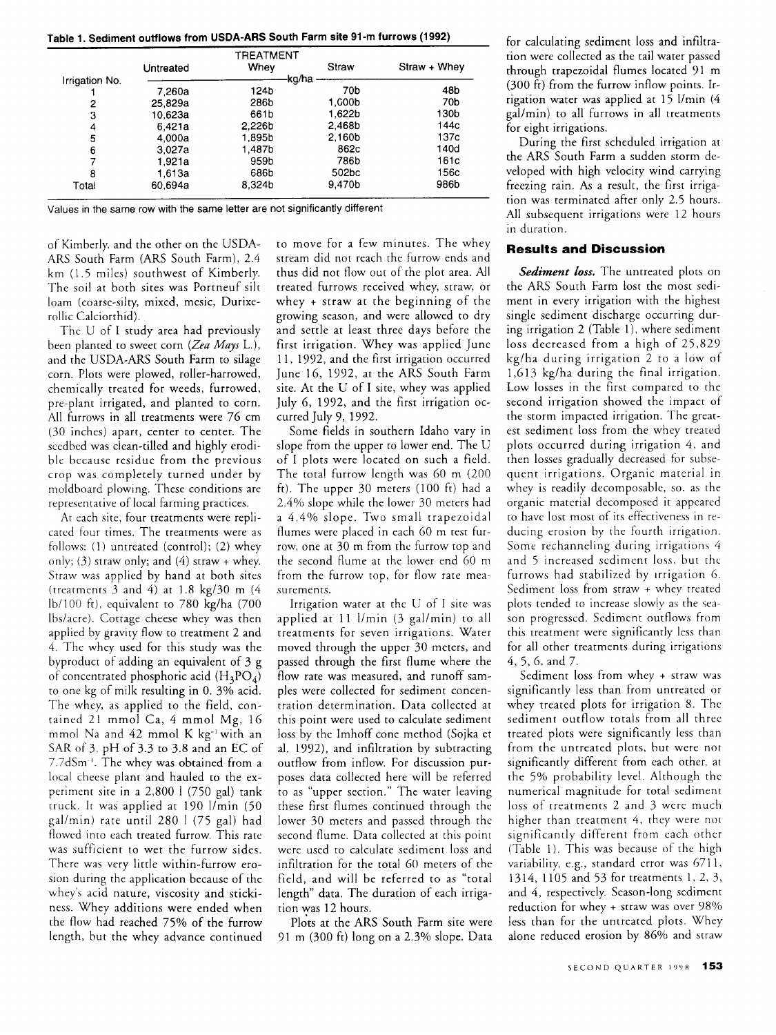**Table 1. Sediment outflows from USDA-ARS South Farm site 91-m furrows (1992)**

|                |           | TREATMENT |        |              |  |  |
|----------------|-----------|-----------|--------|--------------|--|--|
|                | Untreated | Whev      | Straw  | Straw + Whey |  |  |
| Irrigation No. |           | -kg/ha    |        |              |  |  |
|                | 7.260a    | 124b      | 70b    | 48b          |  |  |
| 2              | 25,829a   | 286b      | 1.000b | 70b          |  |  |
| 3              | 10.623a   | 661b      | 1.622b | 130b         |  |  |
| 4              | 6.421a    | 2.226b    | 2.468b | 144с         |  |  |
| 5              | 4.000a    | 1.895b    | 2.160b | 137c         |  |  |
| 6              | 3.027a    | 1.487b    | 862c   | 140d         |  |  |
|                | 1.921a    | 959b      | 786b   | 161c         |  |  |
| 8              | 1.613a    | 686b      | 502bc  | 156c         |  |  |
| Total          | 60.694a   | 8.324b    | 9.470b | 986b         |  |  |

Values in the same row with the same letter are not significantly different

of Kimberly, and the other on the USDA-ARS South Farm (ARS South Farm), 2.4 km (1.5 miles) southwest of Kimberly. The soil at both sites was Portneuf silt loam (coarse-silty, mixed, mesic, Durixerollic Calciorthid).

The U of I study area had previously been planted to sweet corn *(Zea Mays* L.), and the USDA-ARS South Farm to silage corn. Plots were plowed, roller-harrowed, chemically treated for weeds, furrowed, pre-plant irrigated, and planted to corn. All furrows in all treatments were 76 cm (30 inches) apart, center to center. The seedbed was clean-tilled and highly erodible because residue from the previous crop was completely turned under by moldboard plowing. These conditions are representative of local farming practices.

At each site, four treatments were replicated four times. The treatments were as follows: (1) untreated (control); (2) whey only; (3) straw only; and (4) straw  $+$  whey. Straw was applied by hand at both sites (treatments 3 and 4) at  $1.8 \text{ kg}/30 \text{ m}$  (4) lb/100 ft), equivalent to 780 kg/ha (700 lbs/acre). Cottage cheese whey was then applied by gravity flow to treatment 2 and 4. The whey used for this study was the byproduct of adding an equivalent of 3 g of concentrated phosphoric acid  $(H_3PO_4)$ to one kg of milk resulting in 0. 3% acid. The whey, as applied to the field, contained 21 mmol Ca, 4 mmol Mg, 16 mmol Na and 42 mmol K kg-' with an SAR of 3, pH of 3.3 to 3.8 and an EC of 7.7dSm<sup>-1</sup>. The whey was obtained from a local cheese plant and hauled to the experiment site in a 2,800 l (750 gal) tank truck. It was applied at 190 1/min (50 gal/min) rate until 280 1 (75 gal) had flowed into each treated furrow. This rate was sufficient to wet the furrow sides. There was very little within-furrow erosion during the application because of the whey's acid nature, viscosity and stickiness. Whey additions were ended when the flow had reached 75% of the furrow length, but the whey advance continued

to move for a few minutes. The whey stream did not reach the furrow ends and thus did not flow out of the plot area. All treated furrows received whey, straw, or whey + straw at the beginning of the growing season, and were allowed to dry and settle at least three days before the first irrigation. Whey was applied June 11, 1992, and the first irrigation occurred June 16, 1992, at the ARS South Farm site. At the U of I site, whey was applied July 6, 1992, and the first irrigation occurred July 9, 1992.

Some fields in southern Idaho vary in slope from the upper to lower end. The U of I plots were located on such a field. The total furrow length was 60 m (200 ft). The upper 30 meters (100 ft) had a 2.4% slope while the lower 30 meters had a 4.4% slope. Two small trapezoidal flumes were placed in each 60 m test furrow, one at 30 m from the furrow top and the second flume at the lower end 60 m from the furrow top, for flow rate measurements.

Irrigation water at the U of I site was applied at 11 1/min (3 gal/min) to all treatments for seven irrigations. Water moved through the upper 30 meters, and passed through the first flume where the flow rate was measured, and runoff samples were collected for sediment concentration determination. Data collected at this point were used to calculate sediment loss by the Imhoff cone method (Sojka et al. 1992), and infiltration by subtracting outflow from inflow. For discussion purposes data collected here will be referred to as "upper section." The water leaving these first flumes continued through the lower 30 meters and passed through the second flume. Data collected at this point were used to calculate sediment loss and infiltration for the total 60 meters of the field, and will be referred to as "total length" data. The duration of each irrigation was 12 hours.

Plots at the ARS South Farm site were 91 m (300 ft) long on a 2.3% slope. Data

for calculating sediment loss and infiltration were collected as the tail water passed through trapezoidal flumes located 91 m (300 ft) from the furrow inflow points. Irrigation water was applied at 15 1/min (4 gal/min) to all furrows in all treatments for eight irrigations.

During the first scheduled irrigation at the ARS South Farm a sudden storm developed with high velocity wind carrying freezing rain. As a result, the first irrigation was terminated after only 2.5 hours. All subsequent irrigations were 12 hours in duration.

# **Results and Discussion**

*Sediment loss.* The untreated plots on the ARS South Farm lost the most sediment in every irrigation with the highest single sediment discharge occurring during irrigation 2 (Table 1), where sediment loss decreased from a high of 25,829 kg/ha during irrigation 2 to a low of 1,613 kg/ha during the final irrigation. Low losses in the first compared to the second irrigation showed the impact of the storm impacted irrigation. The greatest sediment loss from the whey treated plots occurred during irrigation 4, and then losses gradually decreased for subsequent irrigations. Organic material in whey is readily decomposable, so, as the organic material decomposed it appeared to have lost most of its effectiveness in reducing erosion by the fourth irrigation. Some rechanncling during irrigations 4 and 5 increased sediment loss, but the furrows had stabilized by irrigation 6. Sediment loss from straw + whey treated plots tended to increase slowly as the season progressed. Sediment outflows from this treatment were significantly less than for all other treatments during irrigations 4, 5, 6, and 7.

Sediment loss from whey + straw was significantly less than from untreated or whey treated plots for irrigation 8. The sediment outflow totals from all three treated plots were significantly less than from the untreated plots, but were not significantly different from each other, at the 5% probability level. Although the numerical magnitude for total sediment loss of treatments 2 and 3 were much higher than treatment 4, they were not significantly different from each other (Table 1). This was because of the high variability, e.g., standard error was 6711, 1314, 1105 and 53 for treatments 1, 2, 3, and 4, respectively. Season-long sediment reduction for whey + straw was over 98% less than for the untreated plots. Whey alone reduced erosion by 86% and straw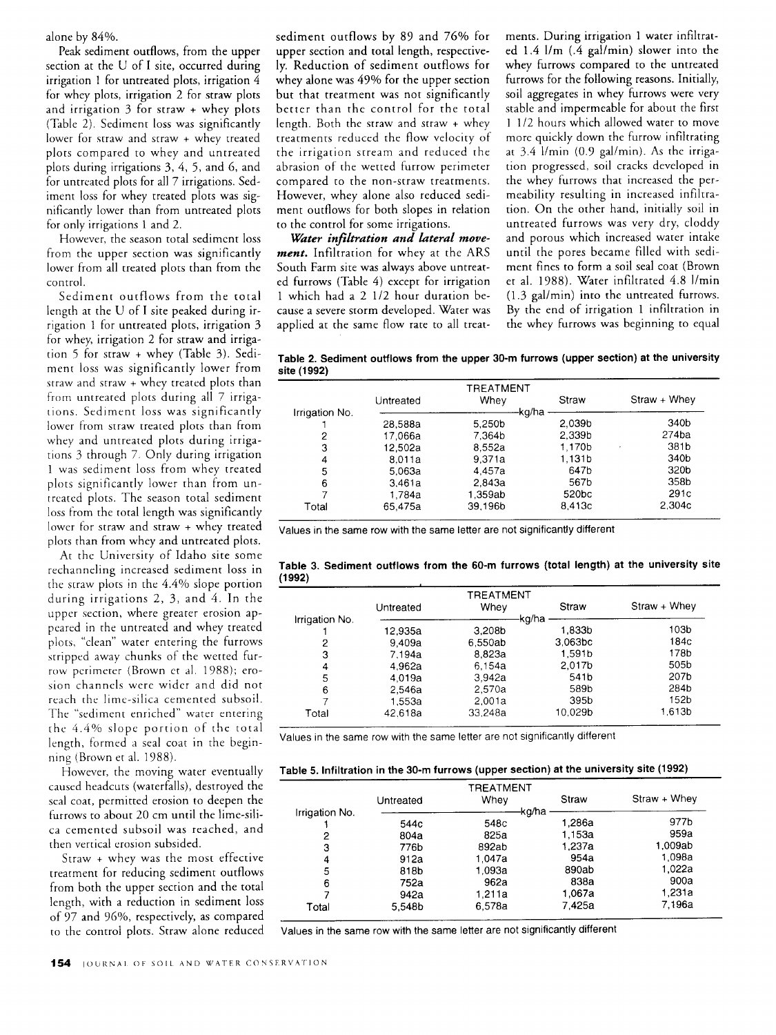alone by 84%.

Peak sediment outflows, from the upper section at the U of I site, occurred during irrigation 1 for untreated plots, irrigation 4 for whey plots, irrigation 2 for straw plots and irrigation 3 for straw + whey plots (Table 2). Sediment loss was significantly lower for straw and straw + whey treated plots compared to whey and untreated plots during irrigations 3, 4, 5, and 6, and for untreated plots for all 7 irrigations. Sediment loss for whey treated plots was significantly lower than from untreated plots for only irrigations 1 and 2.

However, the season total sediment loss from the upper section was significantly lower from all treated plots than from the control.

Sediment outflows from the total length at the U of I site peaked during irrigation 1 for untreated plots, irrigation 3 for whey, irrigation 2 for straw and irrigation 5 for straw + whey (Table 3). Sediment loss was significantly lower from straw and straw + whey treated plots than from untreated plots during all 7 irrigations. Sediment loss was significantly lower from straw treated plots than from whey and untreated plots during irrigations 3 through 7. Only during irrigation 1 was sediment loss from whey treated plots significantly lower than from untreated plots. The season total sediment loss from the total length was significantly lower for straw and straw + whey treated plots than from whey and untreated plots.

At the University of Idaho site some rechanneling increased sediment loss in the straw plots in the 4.4% slope portion during irrigations 2, 3, and 4. In the upper section, where greater erosion appeared in the untreated and whey treated plots, "clean" water entering the furrows stripped away chunks of the wetted furrow perimeter (Brown et al. 1988); erosion channels were wider and did not reach the lime-silica cemented subsoil. The "sediment enriched" water entering the 4.4% slope portion of the total length, formed a seal coat in the beginning (Brown et al. 1988).

However, the moving water eventually caused headcuts (waterfalls), destroyed the seal coat, permitted erosion to deepen the furrows to about 20 cm until the lime-silica cemented subsoil was reached, and then vertical erosion subsided.

Straw + whey was the most effective treatment for reducing sediment outflows from both the upper section and the total length, with a reduction in sediment loss of 97 and 96%, respectively, as compared to the control plots. Straw alone reduced

sediment outflows by 89 and 76% for upper section and total length, respectively. Reduction of sediment outflows for whey alone was 49% for the upper section but that treatment was not significantly better than the control for the total length. Both the straw and straw + whey treatments reduced the flow velocity of the irrigation stream and reduced the abrasion of the wetted furrow perimeter compared to the non-straw treatments. However, whey alone also reduced sediment outflows for both slopes in relation to the control for some irrigations.

*Water infiltration and lateral movement.* Infiltration for whey at the ARS South Farm site was always above untreated furrows (Table 4) except for irrigation 1 which had a 2 1/2 hour duration because a severe storm developed. Water was applied at the same flow rate to all treatments. During irrigation 1 water infiltrated 1.4 l/m (.4 gal/min) slower into the whey furrows compared to the untreated furrows for the following reasons. Initially, soil aggregates in whey furrows were very stable and impermeable for about the first 1 1/2 hours which allowed water to move more quickly down the furrow infiltrating at 3.4 1/min (0.9 gal/min). As the irrigation progressed, soil cracks developed in the whey furrows that increased the permeability resulting in increased infiltration. On the other hand, initially soil in untreated furrows was very dry, cloddy and porous which increased water intake until the pores became filled with sediment fines to form a soil seal coat (Brown et al. 1988). Water infiltrated 4.8 1/min (1.3 gal/min) into the untreated furrows. By the end of irrigation 1 infiltration in the whey furrows was beginning to equal

**Table 2. Sediment outflows from the upper 30-m furrows (upper section) at the university site (1992)**

|                |           | TREATMENT |                    |              |
|----------------|-----------|-----------|--------------------|--------------|
|                | Untreated | Whev      | Straw              | Straw + Whev |
| Irrigation No. |           | kg/ha     |                    |              |
|                | 28.588a   | 5.250b    | 2.039 <sub>b</sub> | 340b         |
| 2              | 17.066a   | 7,364b    | 2.339b             | 274ba        |
| 3              | 12.502a   | 8.552a    | 1.170b             | 381b         |
| 4              | 8.011a    | 9.371a    | 1.131b             | 340b         |
| 5              | 5.063a    | 4.457a    | 647b               | 320b         |
| 6              | 3.461a    | 2.843a    | 567b               | 358b         |
|                | 1.784a    | 1.359ab   | 520 <sub>bc</sub>  | 291c         |
| Total          | 65,475a   | 39.196b   | 8,413c             | 2.304c       |

Values in the same row with the same letter are not significantly different

**Table 3. Sediment outflows from the 60-m furrows (total length) at the university site (1992)**

|                | Untreated | TREATMENT<br>Whev  | Straw               | Straw + Whey |
|----------------|-----------|--------------------|---------------------|--------------|
| Irrigation No. | 12.935a   | 3.208 <sub>b</sub> | kg/ha<br>1.833b     | 103b         |
| 2              | 9,409a    | 6.550ab            | 3.063 <sub>bc</sub> | 184c         |
| 3              | 7.194a    | 8.823a             | 1,591b              | 178b         |
| 4              | 4.962a    | 6.154a             | 2.017b              | 505b         |
| 5              | 4.019a    | 3.942a             | 541b                | 207b         |
| 6              | 2.546a    | 2.570a             | 589b                | 284b         |
|                | 1.553a    | 2.001a             | 395b                | 152b         |
| Total          | 42.618a   | 33.248a            | 10.029b             | 1.613b       |

Values in the same row with the same letter are not significantly different

**Table 5. Infiltration in the 30-m furrows (upper section) at the university site (1992)**

|                |           | TREATMENT |        |              |
|----------------|-----------|-----------|--------|--------------|
|                | Untreated | Whev      | Straw  | Straw + Whey |
| Irrigation No. |           | kg/ha     |        |              |
|                | 544c      | 548c      | 1.286a | 977b         |
| 2              | 804a      | 825a      | 1.153a | 959a         |
| 3              | 776b      | 892ab     | 1.237a | 1.009ab      |
| 4              | 912a      | 1.047a    | 954a   | 1.098a       |
| 5              | 818b      | 1.093a    | 890ab  | 1.022a       |
| 6              | 752a      | 962a      | 838a   | 900a         |
|                | 942a      | 1.211a    | 1.067a | 1.231a       |
| Total          | 5.548b    | 6.578a    | 7.425a | 7.196a       |

Values in the same row with the same letter are not significantly different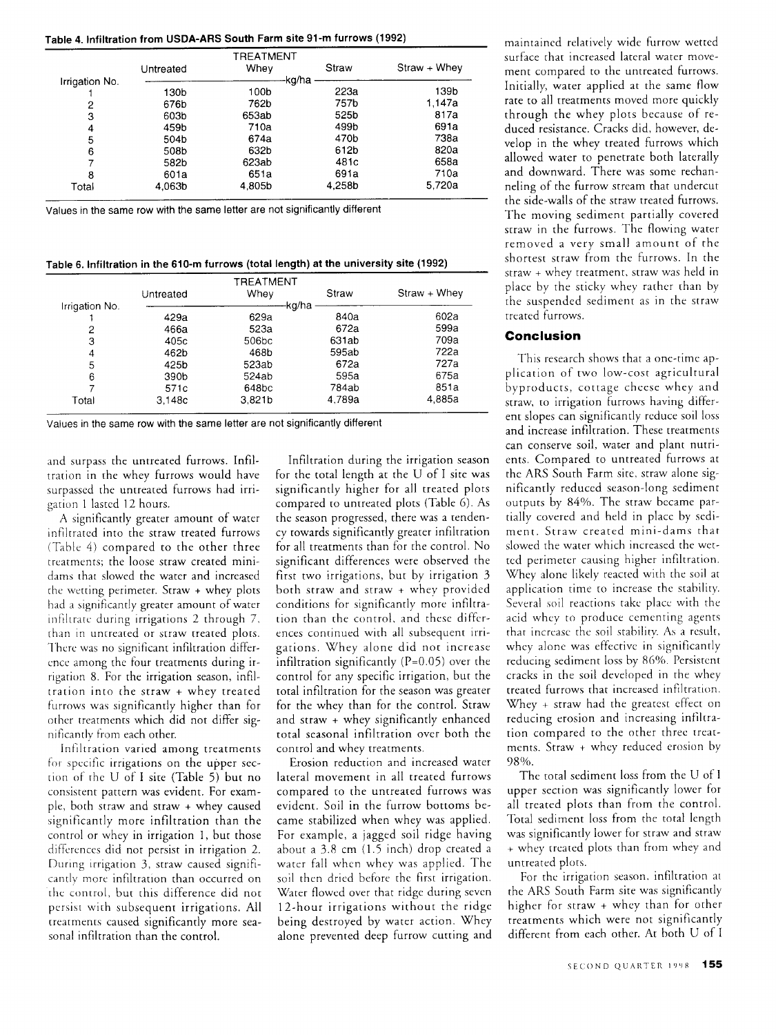| Table 4. Infiltration from USDA-ARS South Farm site 91-m furrows (1992) |  |  |  |  |  |
|-------------------------------------------------------------------------|--|--|--|--|--|
|-------------------------------------------------------------------------|--|--|--|--|--|

|                |           | TREATMENT |        |              |
|----------------|-----------|-----------|--------|--------------|
|                | Untreated | Whey      | Straw  | Straw + Whey |
| Irrigation No. |           |           | kg/ha  |              |
|                | 130b      | 100b      | 223a   | 139b         |
| 2              | 676b      | 762b      | 757b   | 1.147a       |
| 3              | 603b      | 653ab     | 525b   | 817a         |
| 4              | 459b      | 710a      | 499b   | 691a         |
| 5              | 504b      | 674a      | 470b   | 738a         |
| 6              | 508b      | 632b      | 612b   | 820a         |
|                | 582b      | 623ab     | 481c   | 658a         |
| 8              | 601a      | 651a      | 691a   | 710a         |
| Total          | 4.063b    | 4.805b    | 4.258b | 5.720a       |

Values in the same row with the same letter are not significantly different

Table 6. Infiltration in **the 610-m furrows (total length) at the** university site (1992)

|                |           | TREATMENT |        |                |
|----------------|-----------|-----------|--------|----------------|
|                | Untreated | Whey      | Straw  | $Straw + Whey$ |
| Irrigation No. |           | ·kg/ha    |        |                |
|                | 429a      | 629a      | 840a   | 602a           |
| 2              | 466a      | 523a      | 672a   | 599a           |
| 3              | 405c      | 506bc     | 631ab  | 709a           |
| 4              | 462b      | 468b      | 595ab  | 722a           |
| 5              | 425b      | 523ab     | 672a   | 727a           |
| 6              | 390b      | 524ab     | 595a   | 675a           |
|                | 571c      | 648bc     | 784ab  | 851a           |
| Total          | 3.148c    | 3,821b    | 4.789a | 4.885a         |

Values in the same row with the same letter are not significantly different

and surpass the untreated furrows. Infiltration in the whey furrows would have surpassed the untreated furrows had irrigation 1 lasted 12 hours.

A significantly greater amount of water infiltrated into the straw treated furrows (Table 4) compared to the other three treatments; the loose straw created minidams that slowed the water and increased the wetting perimeter. Straw + whey plots had a significantly greater amount of water infiltrate during irrigations 2 through 7, than in untreated or straw treated plots. There was no significant infiltration difference among the four treatments during irrigation 8. For the irrigation season, infiltration into the straw + whey treated furrows was significantly higher than for other treatments which did not differ significantly from each other.

Infiltration varied among treatments for specific irrigations on the upper section of the U of I site (Table 5) but no consistent pattern was evident. For example, both straw and straw + whey caused significantly more infiltration than the control or whey in irrigation 1, but those differences did not persist in irrigation 2. During irrigation 3, straw caused significantly more infiltration than occurred on the control, but this difference did not persist with subsequent irrigations. All treatments caused significantly more seasonal infiltration than the control.

Infiltration during the irrigation season for the total length at the U of I site was significantly higher for all treated plots compared to untreated plots (Table 6). As the season progressed, there was a tendency towards significantly greater infiltration for all treatments than for the control. No significant differences were observed the first two irrigations, but by irrigation 3 both straw and straw + whey provided conditions for significantly more infiltration than the control, and these differences continued with all subsequent irrigations. Whey alone did not increase infiltration significantly  $(P=0.05)$  over the control for any specific irrigation, but the total infiltration for the season was greater for the whey than for the control. Straw and straw + whey significantly enhanced total seasonal infiltration over both the control and whey treatments.

Erosion reduction and increased water lateral movement in all treated furrows compared to the untreated furrows was evident. Soil in the furrow bottoms became stabilized when whey was applied. For example, a jagged soil ridge having about a 3.8 cm (1.5 inch) drop created a water fall when whey was applied. The soil then dried before the first irrigation. Water flowed over that ridge during seven 12-hour irrigations without the ridge being destroyed by water action. Whey alone prevented deep furrow cutting and

maintained relatively wide furrow wetted surface that increased lateral water movement compared to the untreated furrows. Initially, water applied at the same flow rate to all treatments moved more quickly through the whey plots because of reduced resistance. Cracks did, however, develop in the whey treated furrows which allowed water to penetrate both laterally and downward. There was some rechanneling of the furrow stream that undercut the side-walls of the straw treated furrows. The moving sediment partially covered straw in the furrows. The flowing water removed a very small amount of the shortest straw from the furrows. In the straw + whey treatment, straw was held in place by the sticky whey rather than by the suspended sediment as in the straw treated furrows.

## **Conclusion**

This research shows that a one-time application of two low-cost agricultural byproducts, cottage cheese whey and straw, to irrigation furrows having different slopes can significantly reduce soil loss and increase infiltration. These treatments can conserve soil, water and plant nutrients. Compared to untreated furrows at the ARS South Farm site, straw alone significantly reduced season-long sediment outputs by 84%. The straw became partially covered and held in place by sediment. Straw created mini-dams that slowed the water which increased the wetted perimeter causing higher infiltration. Whey alone likely reacted with the soil at application time to increase the stability. Several soil reactions take place with the acid whey to produce cementing agents that increase the soil stability. As a result, whey alone was effective in significantly reducing sediment loss by 86%. Persistent cracks in the soil developed in the whey treated furrows that increased infiltration. Whey + straw had the greatest effect on reducing erosion and increasing infiltration compared to the other three treatments. Straw + whey reduced erosion by 98%.

The total sediment loss from the U of I upper section was significantly lower for all treated plots than from the control. Total sediment loss from the total length was significantly lower for straw and straw + whey treated plots than from whey and untreated plots.

For the irrigation season, infiltration at the ARS South Farm site was significantly higher for straw + whey than for other treatments which were not significantly different from each other. At both U of I